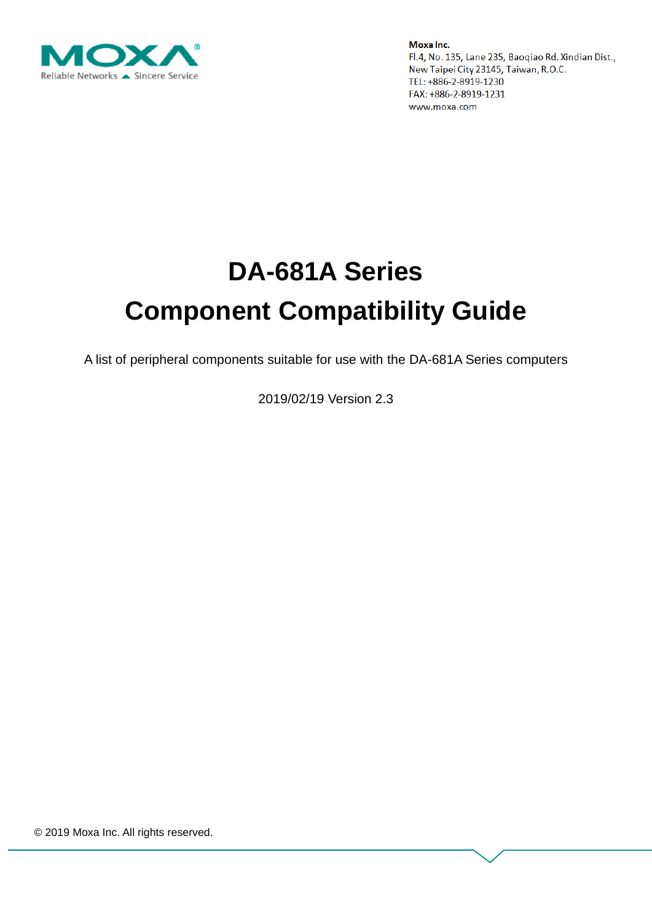

# **DA-681A Series Component Compatibility Guide**

A list of peripheral components suitable for use with the DA-681A Series computers

2019/02/19 Version 2.3

© 2019 Moxa Inc. All rights reserved.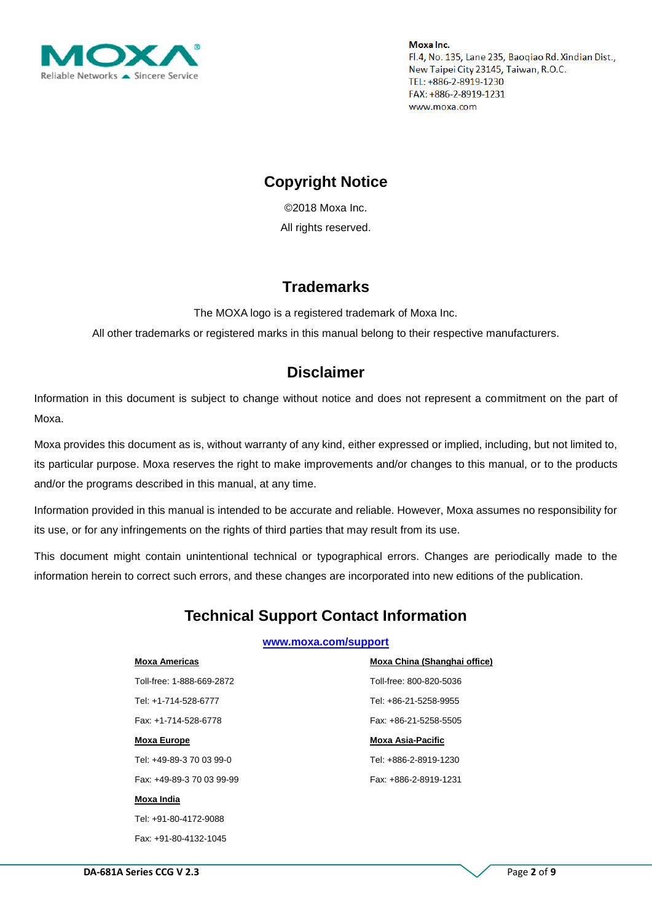

## **Copyright Notice**

© 2018 Moxa Inc. All rights reserved.

#### **Trademarks**

The MOXA logo is a registered trademark of Moxa Inc.

All other trademarks or registered marks in this manual belong to their respective manufacturers.

#### **Disclaimer**

Information in this document is subject to change without notice and does not represent a commitment on the part of Moxa.

Moxa provides this document as is, without warranty of any kind, either expressed or implied, including, but not limited to, its particular purpose. Moxa reserves the right to make improvements and/or changes to this manual, or to the products and/or the programs described in this manual, at any time.

Information provided in this manual is intended to be accurate and reliable. However, Moxa assumes no responsibility for its use, or for any infringements on the rights of third parties that may result from its use.

This document might contain unintentional technical or typographical errors. Changes are periodically made to the information herein to correct such errors, and these changes are incorporated into new editions of the publication.

## **Technical Support Contact Information**

#### **[www.moxa.com/support](http://www.moxa.com/support)**

| <b>Moxa Americas</b>      | Moxa China (Shanghai office) |
|---------------------------|------------------------------|
| Toll-free: 1-888-669-2872 | Toll-free: 800-820-5036      |
| Tel: +1-714-528-6777      | Tel: +86-21-5258-9955        |
| Fax: +1-714-528-6778      | Fax: +86-21-5258-5505        |
| <b>Moxa Europe</b>        | <b>Moxa Asia-Pacific</b>     |
| Tel: +49-89-3 70 03 99-0  | Tel: +886-2-8919-1230        |
| Fax: +49-89-3 70 03 99-99 | Fax: +886-2-8919-1231        |
| Moxa India                |                              |
| Tel: +91-80-4172-9088     |                              |
| Fax: +91-80-4132-1045     |                              |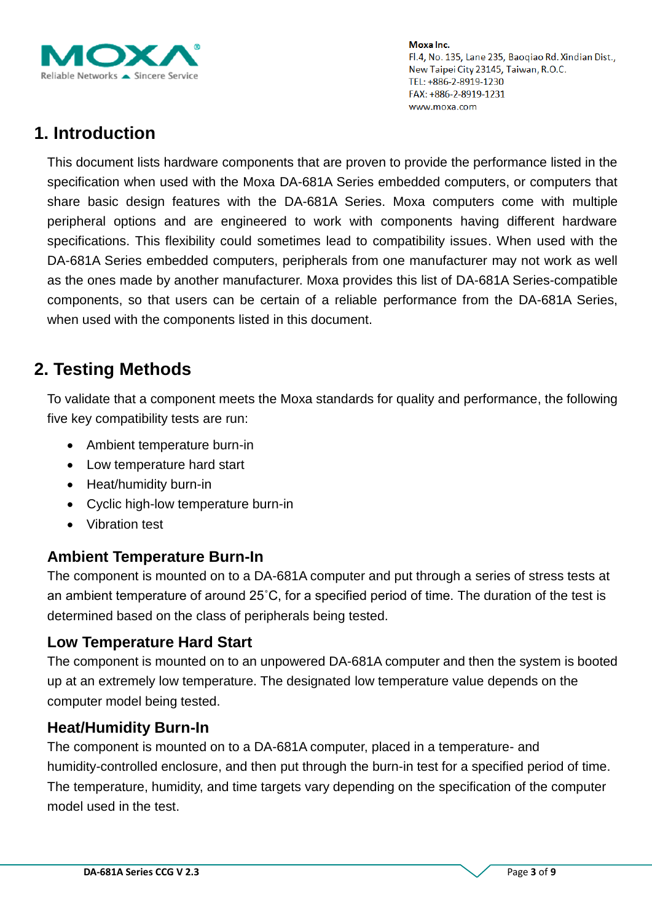

# **1. Introduction**

This document lists hardware components that are proven to provide the performance listed in the specification when used with the Moxa DA-681A Series embedded computers, or computers that share basic design features with the DA-681A Series. Moxa computers come with multiple peripheral options and are engineered to work with components having different hardware specifications. This flexibility could sometimes lead to compatibility issues. When used with the DA-681A Series embedded computers, peripherals from one manufacturer may not work as well as the ones made by another manufacturer. Moxa provides this list of DA-681A Series-compatible components, so that users can be certain of a reliable performance from the DA-681A Series, when used with the components listed in this document.

# **2. Testing Methods**

To validate that a component meets the Moxa standards for quality and performance, the following five key compatibility tests are run:

- Ambient temperature burn-in
- Low temperature hard start
- Heat/humidity burn-in
- Cyclic high-low temperature burn-in
- Vibration test

#### **Ambient Temperature Burn-In**

The component is mounted on to a DA-681A computer and put through a series of stress tests at an ambient temperature of around 25˚C, for a specified period of time. The duration of the test is determined based on the class of peripherals being tested.

#### **Low Temperature Hard Start**

The component is mounted on to an unpowered DA-681A computer and then the system is booted up at an extremely low temperature. The designated low temperature value depends on the computer model being tested.

#### **Heat/Humidity Burn-In**

The component is mounted on to a DA-681A computer, placed in a temperature- and humidity-controlled enclosure, and then put through the burn-in test for a specified period of time. The temperature, humidity, and time targets vary depending on the specification of the computer model used in the test.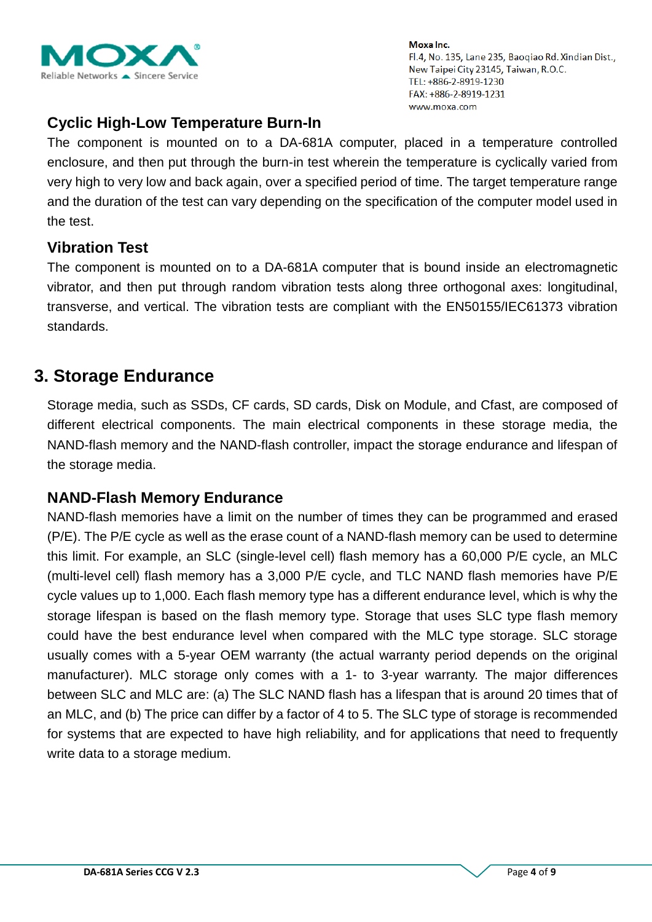

## **Cyclic High-Low Temperature Burn-In**

The component is mounted on to a DA-681A computer, placed in a temperature controlled enclosure, and then put through the burn-in test wherein the temperature is cyclically varied from very high to very low and back again, over a specified period of time. The target temperature range and the duration of the test can vary depending on the specification of the computer model used in the test.

#### **Vibration Test**

The component is mounted on to a DA-681A computer that is bound inside an electromagnetic vibrator, and then put through random vibration tests along three orthogonal axes: longitudinal, transverse, and vertical. The vibration tests are compliant with the EN50155/IEC61373 vibration standards.

## **3. Storage Endurance**

Storage media, such as SSDs, CF cards, SD cards, Disk on Module, and Cfast, are composed of different electrical components. The main electrical components in these storage media, the NAND-flash memory and the NAND-flash controller, impact the storage endurance and lifespan of the storage media.

#### **NAND-Flash Memory Endurance**

NAND-flash memories have a limit on the number of times they can be programmed and erased (P/E). The P/E cycle as well as the erase count of a NAND-flash memory can be used to determine this limit. For example, an SLC (single-level cell) flash memory has a 60,000 P/E cycle, an MLC (multi-level cell) flash memory has a 3,000 P/E cycle, and TLC NAND flash memories have P/E cycle values up to 1,000. Each flash memory type has a different endurance level, which is why the storage lifespan is based on the flash memory type. Storage that uses SLC type flash memory could have the best endurance level when compared with the MLC type storage. SLC storage usually comes with a 5-year OEM warranty (the actual warranty period depends on the original manufacturer). MLC storage only comes with a 1- to 3-year warranty. The major differences between SLC and MLC are: (a) The SLC NAND flash has a lifespan that is around 20 times that of an MLC, and (b) The price can differ by a factor of 4 to 5. The SLC type of storage is recommended for systems that are expected to have high reliability, and for applications that need to frequently write data to a storage medium.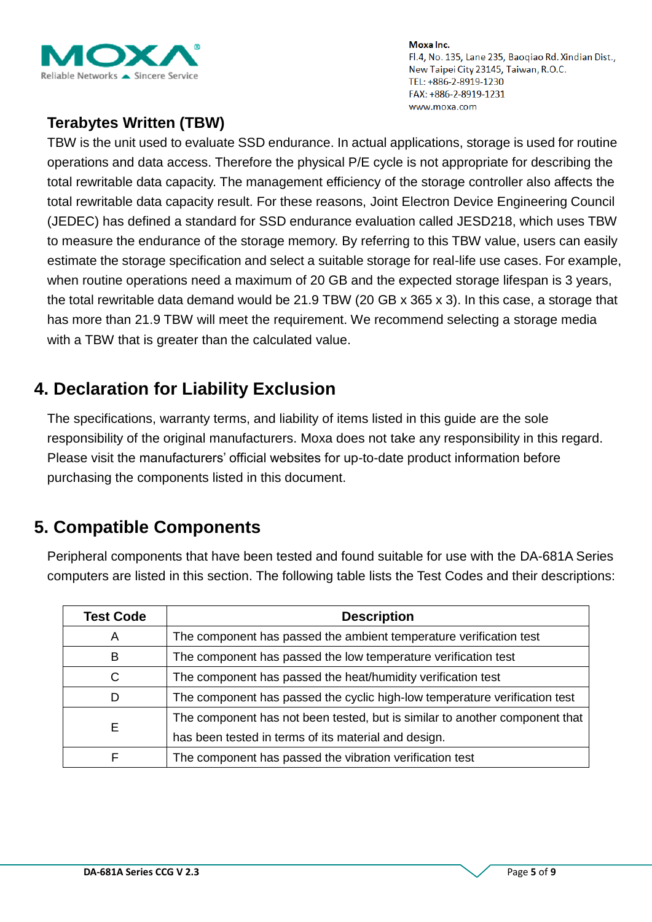

## **Terabytes Written (TBW)**

TBW is the unit used to evaluate SSD endurance. In actual applications, storage is used for routine operations and data access. Therefore the physical P/E cycle is not appropriate for describing the total rewritable data capacity. The management efficiency of the storage controller also affects the total rewritable data capacity result. For these reasons, Joint Electron Device Engineering Council (JEDEC) has defined a standard for SSD endurance evaluation called JESD218, which uses TBW to measure the endurance of the storage memory. By referring to this TBW value, users can easily estimate the storage specification and select a suitable storage for real-life use cases. For example, when routine operations need a maximum of 20 GB and the expected storage lifespan is 3 years, the total rewritable data demand would be 21.9 TBW (20 GB x 365 x 3). In this case, a storage that has more than 21.9 TBW will meet the requirement. We recommend selecting a storage media with a TBW that is greater than the calculated value.

# **4. Declaration for Liability Exclusion**

The specifications, warranty terms, and liability of items listed in this guide are the sole responsibility of the original manufacturers. Moxa does not take any responsibility in this regard. Please visit the manufacturers' official websites for up-to-date product information before purchasing the components listed in this document.

# **5. Compatible Components**

Peripheral components that have been tested and found suitable for use with the DA-681A Series computers are listed in this section. The following table lists the Test Codes and their descriptions:

| <b>Test Code</b> | <b>Description</b>                                                          |
|------------------|-----------------------------------------------------------------------------|
| A                | The component has passed the ambient temperature verification test          |
| в                | The component has passed the low temperature verification test              |
| C                | The component has passed the heat/humidity verification test                |
| D                | The component has passed the cyclic high-low temperature verification test  |
|                  | The component has not been tested, but is similar to another component that |
| Е                | has been tested in terms of its material and design.                        |
|                  | The component has passed the vibration verification test                    |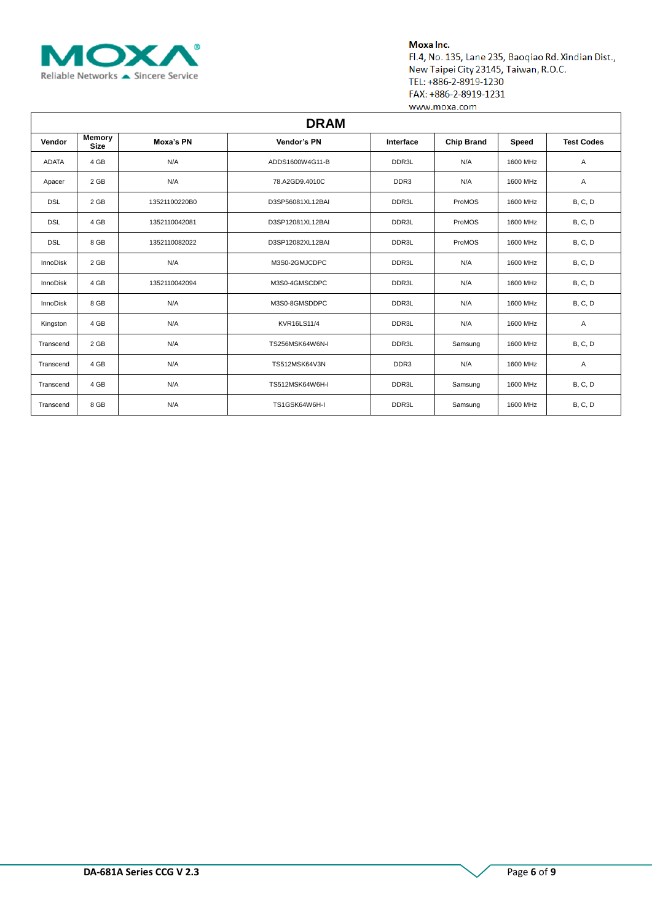

| <b>DRAM</b>     |                       |               |                    |                  |                   |          |                   |  |  |  |
|-----------------|-----------------------|---------------|--------------------|------------------|-------------------|----------|-------------------|--|--|--|
| Vendor          | Memory<br><b>Size</b> | Moxa's PN     | Vendor's PN        | Interface        | <b>Chip Brand</b> | Speed    | <b>Test Codes</b> |  |  |  |
| <b>ADATA</b>    | 4 GB                  | N/A           | ADDS1600W4G11-B    | DDR3L            | N/A               | 1600 MHz | Α                 |  |  |  |
| Apacer          | 2 GB                  | N/A           | 78.A2GD9.4010C     | DDR <sub>3</sub> | N/A               | 1600 MHz | Α                 |  |  |  |
| <b>DSL</b>      | 2 GB                  | 13521100220B0 | D3SP56081XL12BAI   | DDR3L            | ProMOS            | 1600 MHz | <b>B, C, D</b>    |  |  |  |
| <b>DSL</b>      | 4 GB                  | 1352110042081 | D3SP12081XL12BAI   | DDR3L            | ProMOS            | 1600 MHz | <b>B, C, D</b>    |  |  |  |
| <b>DSL</b>      | 8 GB                  | 1352110082022 | D3SP12082XL12BAI   | DDR3L            | ProMOS            | 1600 MHz | <b>B, C, D</b>    |  |  |  |
| <b>InnoDisk</b> | 2 GB                  | N/A           | M3S0-2GMJCDPC      | DDR3L            | N/A               | 1600 MHz | <b>B, C, D</b>    |  |  |  |
| InnoDisk        | 4 GB                  | 1352110042094 | M3S0-4GMSCDPC      | DDR3L            | N/A               | 1600 MHz | <b>B, C, D</b>    |  |  |  |
| InnoDisk        | 8 GB                  | N/A           | M3S0-8GMSDDPC      | DDR3L            | N/A               | 1600 MHz | <b>B, C, D</b>    |  |  |  |
| Kingston        | 4 GB                  | N/A           | <b>KVR16LS11/4</b> | DDR3L            | N/A               | 1600 MHz | Α                 |  |  |  |
| Transcend       | 2 GB                  | N/A           | TS256MSK64W6N-I    | DDR3L            | Samsung           | 1600 MHz | <b>B, C, D</b>    |  |  |  |
| Transcend       | 4 GB                  | N/A           | TS512MSK64V3N      | DDR <sub>3</sub> | N/A               | 1600 MHz | A                 |  |  |  |
| Transcend       | 4 GB                  | N/A           | TS512MSK64W6H-I    | DDR3L            | Samsung           | 1600 MHz | <b>B, C, D</b>    |  |  |  |
| Transcend       | 8 GB                  | N/A           | TS1GSK64W6H-I      | DDR3L            | Samsung           | 1600 MHz | <b>B, C, D</b>    |  |  |  |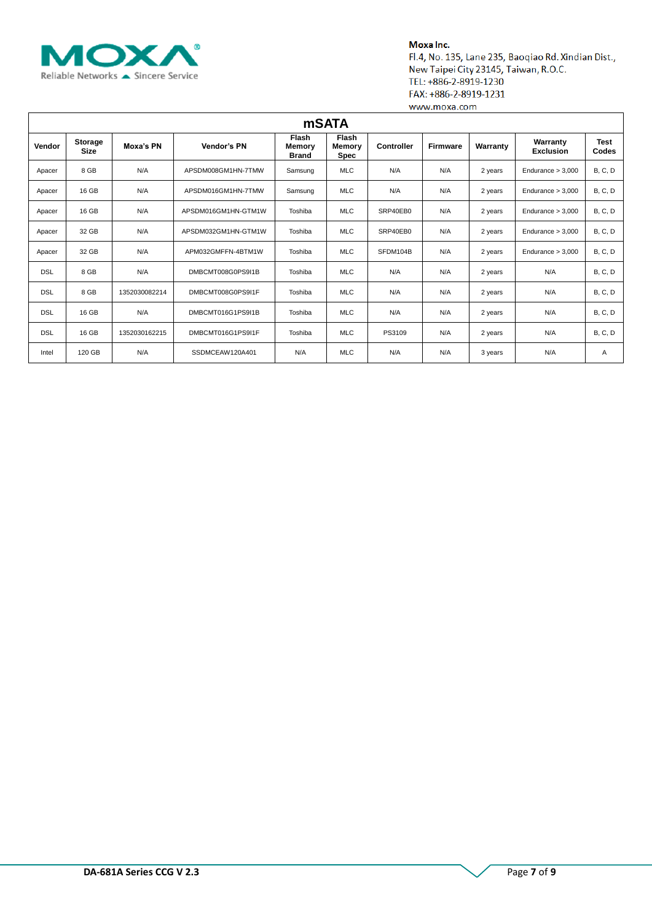

| <b>mSATA</b> |                               |               |                     |                                        |                                       |            |                             |         |                              |                |
|--------------|-------------------------------|---------------|---------------------|----------------------------------------|---------------------------------------|------------|-----------------------------|---------|------------------------------|----------------|
| Vendor       | <b>Storage</b><br><b>Size</b> | Moxa's PN     | Vendor's PN         | <b>Flash</b><br>Memory<br><b>Brand</b> | <b>Flash</b><br>Memory<br><b>Spec</b> | Controller | <b>Firmware</b><br>Warranty |         | Warranty<br><b>Exclusion</b> | Test<br>Codes  |
| Apacer       | 8 GB                          | N/A           | APSDM008GM1HN-7TMW  | Samsung                                | <b>MLC</b>                            | N/A        | N/A                         | 2 years | Endurance $> 3,000$          | <b>B, C, D</b> |
| Apacer       | 16 GB                         | N/A           | APSDM016GM1HN-7TMW  | Samsung                                | <b>MLC</b>                            | N/A        | N/A                         | 2 years | Endurance > 3,000            | <b>B, C, D</b> |
| Apacer       | 16 GB                         | N/A           | APSDM016GM1HN-GTM1W | Toshiba                                | <b>MLC</b>                            | SRP40EB0   | N/A                         | 2 years | Endurance > 3,000            | B, C, D        |
| Apacer       | 32 GB                         | N/A           | APSDM032GM1HN-GTM1W | Toshiba                                | <b>MLC</b>                            | SRP40EB0   | N/A                         | 2 years | Endurance > 3,000            | <b>B, C, D</b> |
| Apacer       | 32 GB                         | N/A           | APM032GMFFN-4BTM1W  | Toshiba                                | <b>MLC</b>                            | SFDM104B   | N/A                         | 2 years | Endurance $> 3,000$          | <b>B, C, D</b> |
| <b>DSL</b>   | 8 GB                          | N/A           | DMBCMT008G0PS9I1B   | Toshiba                                | <b>MLC</b>                            | N/A        | N/A                         | 2 years | N/A                          | B, C, D        |
| <b>DSL</b>   | 8 GB                          | 1352030082214 | DMBCMT008G0PS9I1F   | Toshiba                                | <b>MLC</b>                            | N/A        | N/A                         | 2 years | N/A                          | <b>B, C, D</b> |
| <b>DSL</b>   | 16 GB                         | N/A           | DMBCMT016G1PS9I1B   | Toshiba                                | <b>MLC</b>                            | N/A        | N/A                         | 2 years | N/A                          | B, C, D        |
| <b>DSL</b>   | 16 GB                         | 1352030162215 | DMBCMT016G1PS9I1F   | Toshiba                                | <b>MLC</b>                            | PS3109     | N/A                         | 2 years | N/A                          | B, C, D        |
| Intel        | 120 GB                        | N/A           | SSDMCEAW120A401     | N/A                                    | <b>MLC</b>                            | N/A        | N/A                         | 3 years | N/A                          | A              |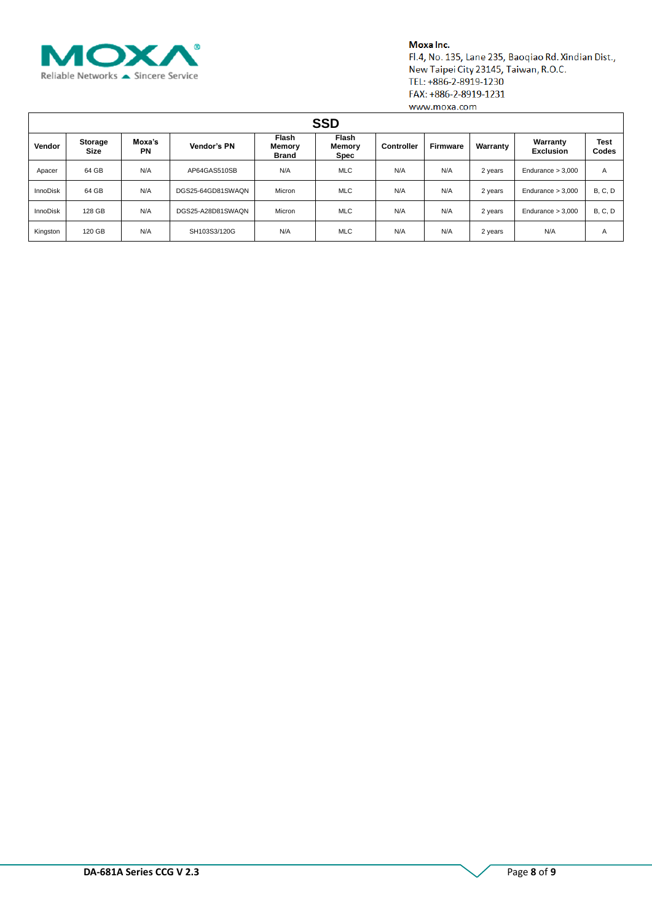

| <b>SSD</b>      |                 |                     |                   |                                        |                                |            |                 |          |                              |                |  |
|-----------------|-----------------|---------------------|-------------------|----------------------------------------|--------------------------------|------------|-----------------|----------|------------------------------|----------------|--|
| Vendor          | Storage<br>Size | Moxa's<br><b>PN</b> | Vendor's PN       | <b>Flash</b><br>Memory<br><b>Brand</b> | <b>Flash</b><br>Memory<br>Spec | Controller | <b>Firmware</b> | Warranty | Warranty<br><b>Exclusion</b> | Test<br>Codes  |  |
| Apacer          | 64 GB           | N/A                 | AP64GAS510SB      | N/A                                    | <b>MLC</b>                     | N/A        | N/A             | 2 years  | Endurance $> 3,000$          | A              |  |
| <b>InnoDisk</b> | 64 GB           | N/A                 | DGS25-64GD81SWAQN | Micron                                 | <b>MLC</b>                     | N/A        | N/A             | 2 years  | Endurance $> 3,000$          | <b>B, C, D</b> |  |
| <b>InnoDisk</b> | 128 GB          | N/A                 | DGS25-A28D81SWAQN | Micron                                 | <b>MLC</b>                     | N/A        | N/A             | 2 years  | Endurance $> 3,000$          | <b>B, C, D</b> |  |
| Kingston        | 120 GB          | N/A                 | SH103S3/120G      | N/A                                    | <b>MLC</b>                     | N/A        | N/A             | 2 years  | N/A                          | A              |  |